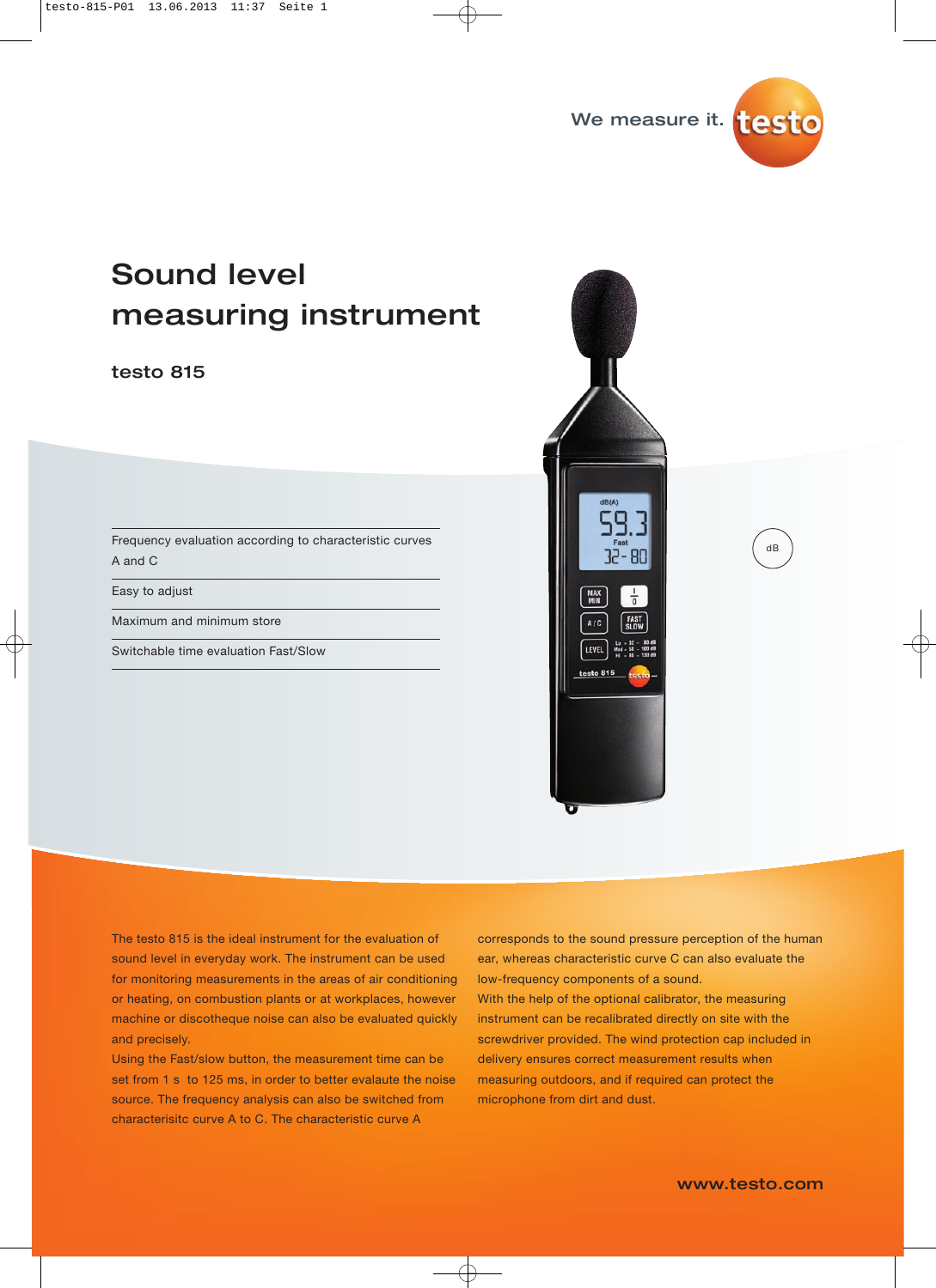

## Sound level measuring instrument

#### testo 815

Frequency evaluation according to characteristic curves A and C

Easy to adjust

Maximum and minimum store

Switchable time evaluation Fast/Slow



The testo 815 is the ideal instrument for the evaluation of sound level in everyday work. The instrument can be used for monitoring measurements in the areas of air conditioning or heating, on combustion plants or at workplaces, however machine or discotheque noise can also be evaluated quickly and precisely.

Using the Fast/slow button, the measurement time can be set from 1 s to 125 ms, in order to better evalaute the noise source. The frequency analysis can also be switched from characterisitc curve A to C. The characteristic curve A

corresponds to the sound pressure perception of the human ear, whereas characteristic curve C can also evaluate the low-frequency components of a sound. With the help of the optional calibrator, the measuring instrument can be recalibrated directly on site with the screwdriver provided. The wind protection cap included in delivery ensures correct measurement results when measuring outdoors, and if required can protect the microphone from dirt and dust.